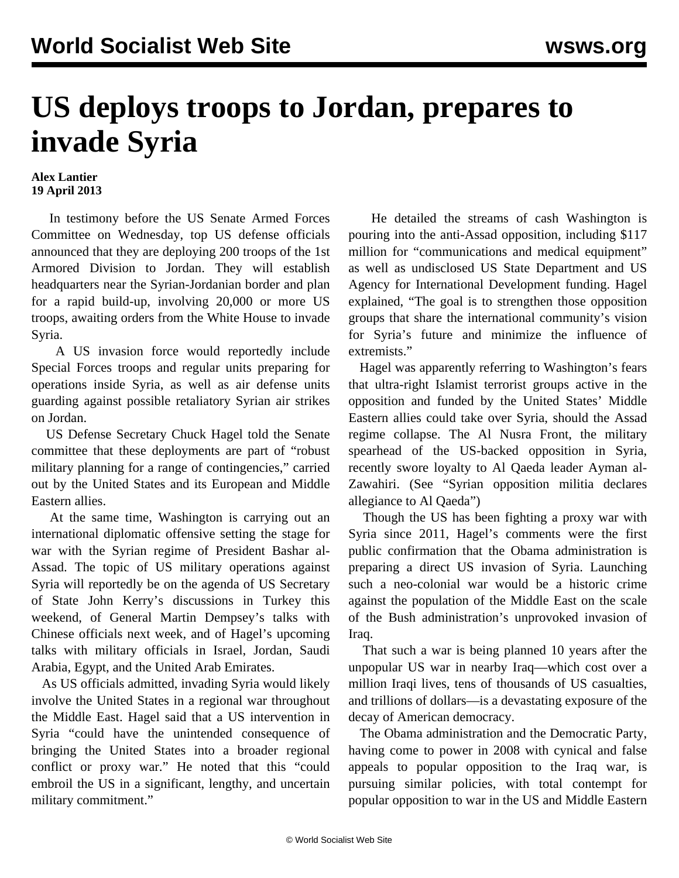## **US deploys troops to Jordan, prepares to invade Syria**

## **Alex Lantier 19 April 2013**

 In testimony before the US Senate Armed Forces Committee on Wednesday, top US defense officials announced that they are deploying 200 troops of the 1st Armored Division to Jordan. They will establish headquarters near the Syrian-Jordanian border and plan for a rapid build-up, involving 20,000 or more US troops, awaiting orders from the White House to invade Syria.

 A US invasion force would reportedly include Special Forces troops and regular units preparing for operations inside Syria, as well as air defense units guarding against possible retaliatory Syrian air strikes on Jordan.

 US Defense Secretary Chuck Hagel told the Senate committee that these deployments are part of "robust military planning for a range of contingencies," carried out by the United States and its European and Middle Eastern allies.

 At the same time, Washington is carrying out an international diplomatic offensive setting the stage for war with the Syrian regime of President Bashar al-Assad. The topic of US military operations against Syria will reportedly be on the agenda of US Secretary of State John Kerry's discussions in Turkey this weekend, of General Martin Dempsey's talks with Chinese officials next week, and of Hagel's upcoming talks with military officials in Israel, Jordan, Saudi Arabia, Egypt, and the United Arab Emirates.

 As US officials admitted, invading Syria would likely involve the United States in a regional war throughout the Middle East. Hagel said that a US intervention in Syria "could have the unintended consequence of bringing the United States into a broader regional conflict or proxy war." He noted that this "could embroil the US in a significant, lengthy, and uncertain military commitment."

 He detailed the streams of cash Washington is pouring into the anti-Assad opposition, including \$117 million for "communications and medical equipment" as well as undisclosed US State Department and US Agency for International Development funding. Hagel explained, "The goal is to strengthen those opposition groups that share the international community's vision for Syria's future and minimize the influence of extremists."

 Hagel was apparently referring to Washington's fears that ultra-right Islamist terrorist groups active in the opposition and funded by the United States' Middle Eastern allies could take over Syria, should the Assad regime collapse. The Al Nusra Front, the military spearhead of the US-backed opposition in Syria, recently swore loyalty to Al Qaeda leader Ayman al-Zawahiri. (See "[Syrian opposition militia declares](/en/articles/2013/04/16/alnu-a16.html) [allegiance to Al Qaeda"](/en/articles/2013/04/16/alnu-a16.html))

 Though the US has been fighting a proxy war with Syria since 2011, Hagel's comments were the first public confirmation that the Obama administration is preparing a direct US invasion of Syria. Launching such a neo-colonial war would be a historic crime against the population of the Middle East on the scale of the Bush administration's unprovoked invasion of Iraq.

 That such a war is being planned 10 years after the unpopular US war in nearby Iraq—which cost over a million Iraqi lives, tens of thousands of US casualties, and trillions of dollars—is a devastating exposure of the decay of American democracy.

 The Obama administration and the Democratic Party, having come to power in 2008 with cynical and false appeals to popular opposition to the Iraq war, is pursuing similar policies, with total contempt for popular opposition to war in the US and Middle Eastern